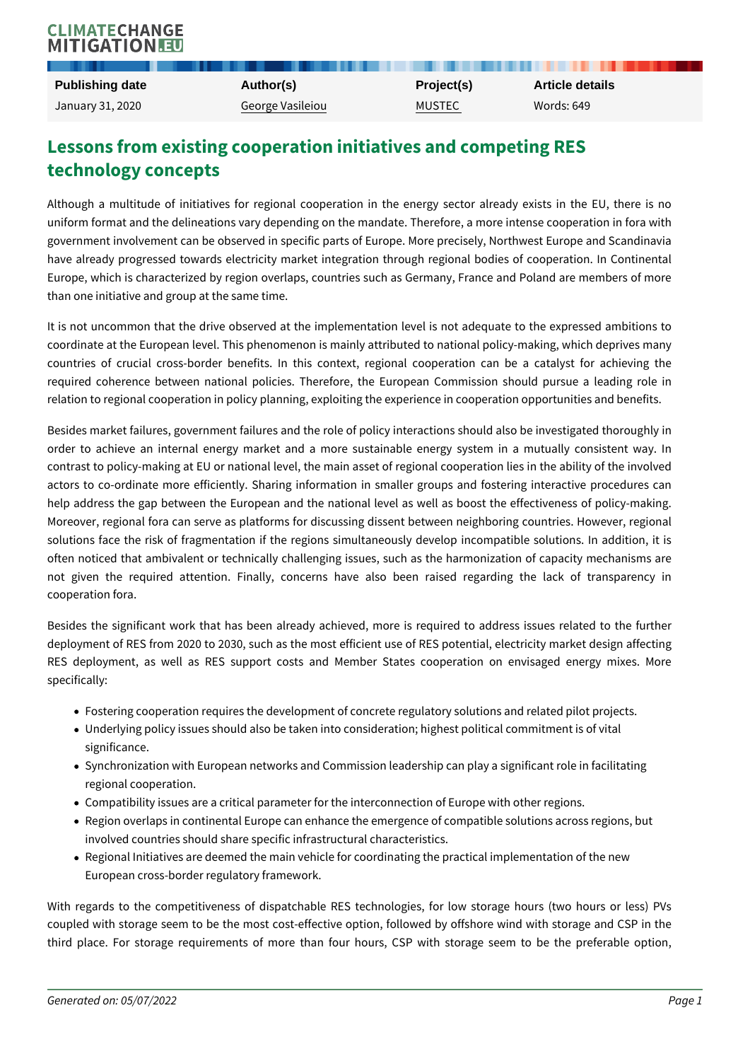## Lessons from existing cooperation initiatives and computed technology concepts

Although a multitude of initiatives for regional cooperation in the energy s uniform format and the delineations vary depending on the mandate. Therefore government involvement can be observed in specific parts of Europe. More pre have already progressed towards electricity market integration through regio Europe, which is characterized by region overlaps, countries such as Germany than one initiative and group at the same time.

It is not uncommon that the drive observed at the implementation level is no coordinate at the European level. This phenomenon is mainly attributed to nati countries of crucial cross-border benefits. In this context, regional coope required coherence between national policies. Therefore, the European Com relation to regional cooperation in policy planning, exploiting the experience in

Besides market failures, government failures and the role of policy interaction order to achieve an internal energy market and a more sustainable energy contrast to policy-making at EU or national level, the main asset of regional c actors to co-ordinate more efficiently. Sharing information in smaller groups help address the gap between the European and the national level as well as Moreover, regional fora can serve as platforms for discussing dissent between solutions face the risk of fragmentation if the regions simultaneously develo often noticed that ambivalent or technically challenging issues, such as the  $\vert$ not given the required attention. Finally, concerns have also been rais cooperation fora.

Besides the significant work that has been already achieved, more is requir deployment of RES from 2020 to 2030, such as the most efficient use of RES RES deployment, as well as RES support costs and Member States coop specifically:

- Fostering cooperation requires the development of concrete regulatory solu
- Underlying policy issues should also be taken into consideration; highest p significance.
- Synchronization with European networks and Commission leadership can pla regional cooperation.
- Compatibility issues are a critical parameter for the interconnection of Eur
- Region overlaps in continental Europe can enhance the emergence of compa involved countries should share specific infrastructural characteristics.
- Regional Initiatives are deemed the main vehicle for coordinating the pract European cross-border regulatory framework.

With regards to the competitiveness of dispatchable RES technologies, for coupled with storage seem to be the most cost-effective option, followed by  $\alpha$ third place. For storage requirements of more than four hours, CSP with storage